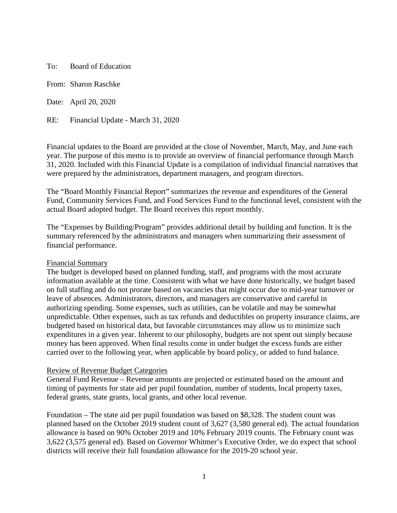To: Board of Education

From: Sharon Raschke

Date: April 20, 2020

RE: Financial Update - March 31, 2020

Financial updates to the Board are provided at the close of November, March, May, and June each year. The purpose of this memo is to provide an overview of financial performance through March 31, 2020. Included with this Financial Update is a compilation of individual financial narratives that were prepared by the administrators, department managers, and program directors.

The "Board Monthly Financial Report" summarizes the revenue and expenditures of the General Fund, Community Services Fund, and Food Services Fund to the functional level, consistent with the actual Board adopted budget. The Board receives this report monthly.

The "Expenses by Building/Program" provides additional detail by building and function. It is the summary referenced by the administrators and managers when summarizing their assessment of financial performance.

## Financial Summary

The budget is developed based on planned funding, staff, and programs with the most accurate information available at the time. Consistent with what we have done historically, we budget based on full staffing and do not prorate based on vacancies that might occur due to mid-year turnover or leave of absences. Administrators, directors, and managers are conservative and careful in authorizing spending. Some expenses, such as utilities, can be volatile and may be somewhat unpredictable. Other expenses, such as tax refunds and deductibles on property insurance claims, are budgeted based on historical data, but favorable circumstances may allow us to minimize such expenditures in a given year. Inherent to our philosophy, budgets are not spent out simply because money has been approved. When final results come in under budget the excess funds are either carried over to the following year, when applicable by board policy, or added to fund balance.

## Review of Revenue Budget Categories

General Fund Revenue – Revenue amounts are projected or estimated based on the amount and timing of payments for state aid per pupil foundation, number of students, local property taxes, federal grants, state grants, local grants, and other local revenue.

Foundation – The state aid per pupil foundation was based on \$8,328. The student count was planned based on the October 2019 student count of 3,627 (3,580 general ed). The actual foundation allowance is based on 90% October 2019 and 10% February 2019 counts. The February count was 3,622 (3,575 general ed). Based on Governor Whitmer's Executive Order, we do expect that school districts will receive their full foundation allowance for the 2019-20 school year.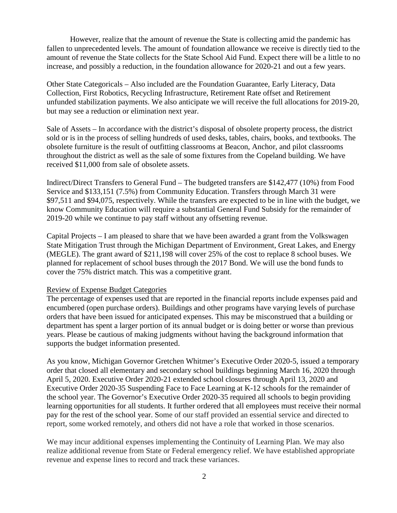However, realize that the amount of revenue the State is collecting amid the pandemic has fallen to unprecedented levels. The amount of foundation allowance we receive is directly tied to the amount of revenue the State collects for the State School Aid Fund. Expect there will be a little to no increase, and possibly a reduction, in the foundation allowance for 2020-21 and out a few years.

Other State Categoricals – Also included are the Foundation Guarantee, Early Literacy, Data Collection, First Robotics, Recycling Infrastructure, Retirement Rate offset and Retirement unfunded stabilization payments. We also anticipate we will receive the full allocations for 2019-20, but may see a reduction or elimination next year.

Sale of Assets – In accordance with the district's disposal of obsolete property process, the district sold or is in the process of selling hundreds of used desks, tables, chairs, books, and textbooks. The obsolete furniture is the result of outfitting classrooms at Beacon, Anchor, and pilot classrooms throughout the district as well as the sale of some fixtures from the Copeland building. We have received \$11,000 from sale of obsolete assets.

Indirect/Direct Transfers to General Fund – The budgeted transfers are \$142,477 (10%) from Food Service and \$133,151 (7.5%) from Community Education. Transfers through March 31 were \$97,511 and \$94,075, respectively. While the transfers are expected to be in line with the budget, we know Community Education will require a substantial General Fund Subsidy for the remainder of 2019-20 while we continue to pay staff without any offsetting revenue.

Capital Projects – I am pleased to share that we have been awarded a grant from the Volkswagen State Mitigation Trust through the Michigan Department of Environment, Great Lakes, and Energy (MEGLE). The grant award of \$211,198 will cover 25% of the cost to replace 8 school buses. We planned for replacement of school buses through the 2017 Bond. We will use the bond funds to cover the 75% district match. This was a competitive grant.

## Review of Expense Budget Categories

The percentage of expenses used that are reported in the financial reports include expenses paid and encumbered (open purchase orders). Buildings and other programs have varying levels of purchase orders that have been issued for anticipated expenses. This may be misconstrued that a building or department has spent a larger portion of its annual budget or is doing better or worse than previous years. Please be cautious of making judgments without having the background information that supports the budget information presented.

As you know, Michigan Governor Gretchen Whitmer's Executive Order 2020-5, issued a temporary order that closed all elementary and secondary school buildings beginning March 16, 2020 through April 5, 2020. Executive Order 2020-21 extended school closures through April 13, 2020 and Executive Order 2020-35 Suspending Face to Face Learning at K-12 schools for the remainder of the school year. The Governor's Executive Order 2020-35 required all schools to begin providing learning opportunities for all students. It further ordered that all employees must receive their normal pay for the rest of the school year. Some of our staff provided an essential service and directed to report, some worked remotely, and others did not have a role that worked in those scenarios.

We may incur additional expenses implementing the Continuity of Learning Plan. We may also realize additional revenue from State or Federal emergency relief. We have established appropriate revenue and expense lines to record and track these variances.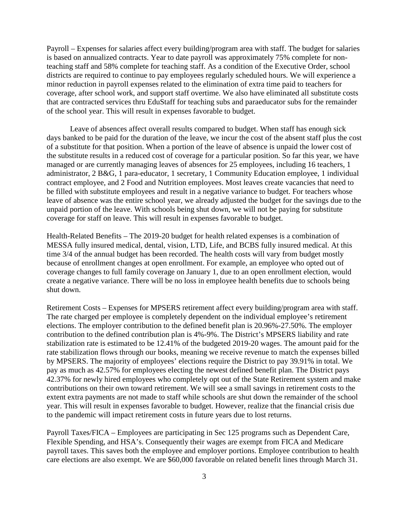Payroll – Expenses for salaries affect every building/program area with staff. The budget for salaries is based on annualized contracts. Year to date payroll was approximately 75% complete for nonteaching staff and 58% complete for teaching staff. As a condition of the Executive Order, school districts are required to continue to pay employees regularly scheduled hours. We will experience a minor reduction in payroll expenses related to the elimination of extra time paid to teachers for coverage, after school work, and support staff overtime. We also have eliminated all substitute costs that are contracted services thru EduStaff for teaching subs and paraeducator subs for the remainder of the school year. This will result in expenses favorable to budget.

Leave of absences affect overall results compared to budget. When staff has enough sick days banked to be paid for the duration of the leave, we incur the cost of the absent staff plus the cost of a substitute for that position. When a portion of the leave of absence is unpaid the lower cost of the substitute results in a reduced cost of coverage for a particular position. So far this year, we have managed or are currently managing leaves of absences for 25 employees, including 16 teachers, 1 administrator, 2 B&G, 1 para-educator, 1 secretary, 1 Community Education employee, 1 individual contract employee, and 2 Food and Nutrition employees. Most leaves create vacancies that need to be filled with substitute employees and result in a negative variance to budget. For teachers whose leave of absence was the entire school year, we already adjusted the budget for the savings due to the unpaid portion of the leave. With schools being shut down, we will not be paying for substitute coverage for staff on leave. This will result in expenses favorable to budget.

Health-Related Benefits – The 2019-20 budget for health related expenses is a combination of MESSA fully insured medical, dental, vision, LTD, Life, and BCBS fully insured medical. At this time 3/4 of the annual budget has been recorded. The health costs will vary from budget mostly because of enrollment changes at open enrollment. For example, an employee who opted out of coverage changes to full family coverage on January 1, due to an open enrollment election, would create a negative variance. There will be no loss in employee health benefits due to schools being shut down.

Retirement Costs – Expenses for MPSERS retirement affect every building/program area with staff. The rate charged per employee is completely dependent on the individual employee's retirement elections. The employer contribution to the defined benefit plan is 20.96%-27.50%. The employer contribution to the defined contribution plan is 4%-9%. The District's MPSERS liability and rate stabilization rate is estimated to be 12.41% of the budgeted 2019-20 wages. The amount paid for the rate stabilization flows through our books, meaning we receive revenue to match the expenses billed by MPSERS. The majority of employees' elections require the District to pay 39.91% in total. We pay as much as 42.57% for employees electing the newest defined benefit plan. The District pays 42.37% for newly hired employees who completely opt out of the State Retirement system and make contributions on their own toward retirement. We will see a small savings in retirement costs to the extent extra payments are not made to staff while schools are shut down the remainder of the school year. This will result in expenses favorable to budget. However, realize that the financial crisis due to the pandemic will impact retirement costs in future years due to lost returns.

Payroll Taxes/FICA – Employees are participating in Sec 125 programs such as Dependent Care, Flexible Spending, and HSA's. Consequently their wages are exempt from FICA and Medicare payroll taxes. This saves both the employee and employer portions. Employee contribution to health care elections are also exempt. We are \$60,000 favorable on related benefit lines through March 31.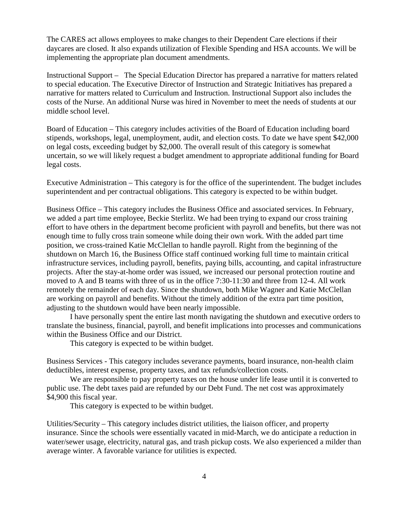The CARES act allows employees to make changes to their Dependent Care elections if their daycares are closed. It also expands utilization of Flexible Spending and HSA accounts. We will be implementing the appropriate plan document amendments.

Instructional Support – The Special Education Director has prepared a narrative for matters related to special education. The Executive Director of Instruction and Strategic Initiatives has prepared a narrative for matters related to Curriculum and Instruction. Instructional Support also includes the costs of the Nurse. An additional Nurse was hired in November to meet the needs of students at our middle school level.

Board of Education – This category includes activities of the Board of Education including board stipends, workshops, legal, unemployment, audit, and election costs. To date we have spent \$42,000 on legal costs, exceeding budget by \$2,000. The overall result of this category is somewhat uncertain, so we will likely request a budget amendment to appropriate additional funding for Board legal costs.

Executive Administration – This category is for the office of the superintendent. The budget includes superintendent and per contractual obligations. This category is expected to be within budget.

Business Office – This category includes the Business Office and associated services. In February, we added a part time employee, Beckie Sterlitz. We had been trying to expand our cross training effort to have others in the department become proficient with payroll and benefits, but there was not enough time to fully cross train someone while doing their own work. With the added part time position, we cross-trained Katie McClellan to handle payroll. Right from the beginning of the shutdown on March 16, the Business Office staff continued working full time to maintain critical infrastructure services, including payroll, benefits, paying bills, accounting, and capital infrastructure projects. After the stay-at-home order was issued, we increased our personal protection routine and moved to A and B teams with three of us in the office 7:30-11:30 and three from 12-4. All work remotely the remainder of each day. Since the shutdown, both Mike Wagner and Katie McClellan are working on payroll and benefits. Without the timely addition of the extra part time position, adjusting to the shutdown would have been nearly impossible.

I have personally spent the entire last month navigating the shutdown and executive orders to translate the business, financial, payroll, and benefit implications into processes and communications within the Business Office and our District.

This category is expected to be within budget.

Business Services - This category includes severance payments, board insurance, non-health claim deductibles, interest expense, property taxes, and tax refunds/collection costs.

We are responsible to pay property taxes on the house under life lease until it is converted to public use. The debt taxes paid are refunded by our Debt Fund. The net cost was approximately \$4,900 this fiscal year.

This category is expected to be within budget.

Utilities/Security – This category includes district utilities, the liaison officer, and property insurance. Since the schools were essentially vacated in mid-March, we do anticipate a reduction in water/sewer usage, electricity, natural gas, and trash pickup costs. We also experienced a milder than average winter. A favorable variance for utilities is expected.